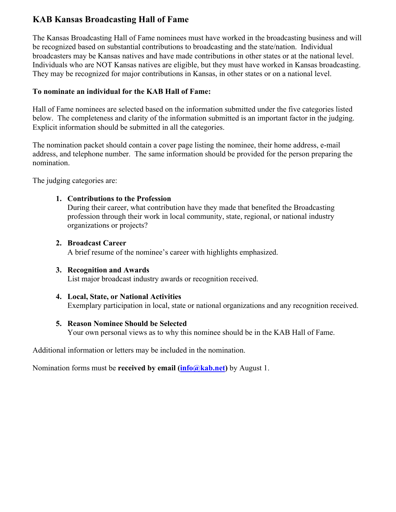# **KAB Kansas Broadcasting Hall of Fame**

The Kansas Broadcasting Hall of Fame nominees must have worked in the broadcasting business and will be recognized based on substantial contributions to broadcasting and the state/nation. Individual broadcasters may be Kansas natives and have made contributions in other states or at the national level. Individuals who are NOT Kansas natives are eligible, but they must have worked in Kansas broadcasting. They may be recognized for major contributions in Kansas, in other states or on a national level.

## **To nominate an individual for the KAB Hall of Fame:**

Hall of Fame nominees are selected based on the information submitted under the five categories listed below. The completeness and clarity of the information submitted is an important factor in the judging. Explicit information should be submitted in all the categories.

The nomination packet should contain a cover page listing the nominee, their home address, e-mail address, and telephone number. The same information should be provided for the person preparing the nomination.

The judging categories are:

### **1. Contributions to the Profession**

During their career, what contribution have they made that benefited the Broadcasting profession through their work in local community, state, regional, or national industry organizations or projects?

### **2. Broadcast Career**

A brief resume of the nominee's career with highlights emphasized.

### **3. Recognition and Awards**

List major broadcast industry awards or recognition received.

### **4. Local, State, or National Activities**  Exemplary participation in local, state or national organizations and any recognition received.

## **5. Reason Nominee Should be Selected**

Your own personal views as to why this nominee should be in the KAB Hall of Fame.

Additional information or letters may be included in the nomination.

Nomination forms must be **received by email (info@kab.net)** by August 1.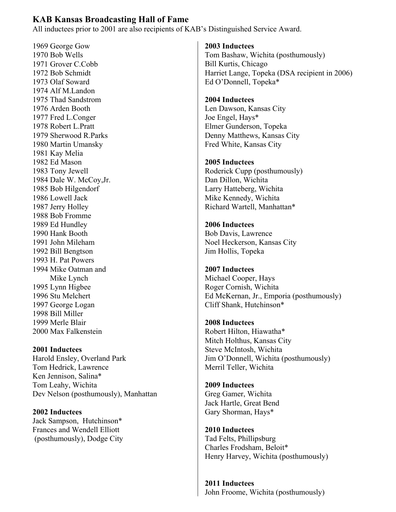## **KAB Kansas Broadcasting Hall of Fame**

All inductees prior to 2001 are also recipients of KAB's Distinguished Service Award.

1969 George Gow 1970 Bob Wells 1971 Grover C.Cobb 1972 Bob Schmidt 1973 Olaf Soward 1974 Alf M.Landon 1975 Thad Sandstrom 1976 Arden Booth 1977 Fred L.Conger 1978 Robert L.Pratt 1979 Sherwood R.Parks 1980 Martin Umansky 1981 Kay Melia 1982 Ed Mason 1983 Tony Jewell 1984 Dale W. McCoy,Jr. 1985 Bob Hilgendorf 1986 Lowell Jack 1987 Jerry Holley 1988 Bob Fromme 1989 Ed Hundley 1990 Hank Booth 1991 John Mileham 1992 Bill Bengtson 1993 H. Pat Powers 1994 Mike Oatman and Mike Lynch 1995 Lynn Higbee 1996 Stu Melchert 1997 George Logan 1998 Bill Miller 1999 Merle Blair 2000 Max Falkenstein

**2001 Inductees** 

Harold Ensley, Overland Park Tom Hedrick, Lawrence Ken Jennison, Salina\* Tom Leahy, Wichita Dev Nelson (posthumously), Manhattan

**2002 Inductees**  Jack Sampson, Hutchinson\* Frances and Wendell Elliott (posthumously), Dodge City

#### **2003 Inductees**

Tom Bashaw, Wichita (posthumously) Bill Kurtis, Chicago Harriet Lange, Topeka (DSA recipient in 2006) Ed O'Donnell, Topeka\*

### **2004 Inductees**

Len Dawson, Kansas City Joe Engel, Hays\* Elmer Gunderson, Topeka Denny Matthews, Kansas City Fred White, Kansas City

#### **2005 Inductees**

Roderick Cupp (posthumously) Dan Dillon, Wichita Larry Hatteberg, Wichita Mike Kennedy, Wichita Richard Wartell, Manhattan\*

**2006 Inductees**  Bob Davis, Lawrence Noel Heckerson, Kansas City Jim Hollis, Topeka

**2007 Inductees**  Michael Cooper, Hays Roger Cornish, Wichita Ed McKernan, Jr., Emporia (posthumously) Cliff Shank, Hutchinson\*

**2008 Inductees** Robert Hilton, Hiawatha\* Mitch Holthus, Kansas City Steve McIntosh, Wichita Jim O'Donnell, Wichita (posthumously) Merril Teller, Wichita

**2009 Inductees**  Greg Gamer, Wichita Jack Hartle, Great Bend Gary Shorman, Hays\*

**2010 Inductees**  Tad Felts, Phillipsburg Charles Frodsham, Beloit\* Henry Harvey, Wichita (posthumously)

**2011 Inductees**  John Froome, Wichita (posthumously)